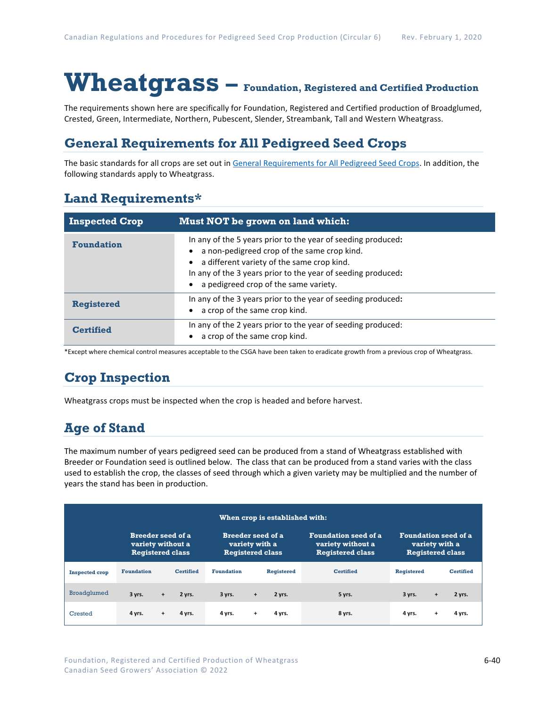# **Wheatgrass – Foundation, Registered and Certified Production**

The requirements shown here are specifically for Foundation, Registered and Certified production of Broadglumed, Crested, Green, Intermediate, Northern, Pubescent, Slender, Streambank, Tall and Western Wheatgrass.

### **General Requirements for All Pedigreed Seed Crops**

The basic standards for all crops are set out i[n General Requirements for All Pedigreed Seed](https://seedgrowers.ca/wp-content/uploads/2020/01/GENERAL-REQUIREMENTS-ALL-CROPS_EN.pdf) Crops. In addition, the following standards apply to Wheatgrass.

### **Land Requirements\***

| <b>Inspected Crop</b> | Must NOT be grown on land which:                                                                                                                                                                                                                                   |
|-----------------------|--------------------------------------------------------------------------------------------------------------------------------------------------------------------------------------------------------------------------------------------------------------------|
| <b>Foundation</b>     | In any of the 5 years prior to the year of seeding produced:<br>a non-pedigreed crop of the same crop kind.<br>a different variety of the same crop kind.<br>In any of the 3 years prior to the year of seeding produced:<br>a pedigreed crop of the same variety. |
| <b>Registered</b>     | In any of the 3 years prior to the year of seeding produced:<br>a crop of the same crop kind.                                                                                                                                                                      |
| <b>Certified</b>      | In any of the 2 years prior to the year of seeding produced:<br>a crop of the same crop kind.                                                                                                                                                                      |

\*Except where chemical control measures acceptable to the CSGA have been taken to eradicate growth from a previous crop of Wheatgrass.

## **Crop Inspection**

Wheatgrass crops must be inspected when the crop is headed and before harvest.

## **Age of Stand**

The maximum number of years pedigreed seed can be produced from a stand of Wheatgrass established with Breeder or Foundation seed is outlined below. The class that can be produced from a stand varies with the class used to establish the crop, the classes of seed through which a given variety may be multiplied and the number of years the stand has been in production.

| When crop is established with: |                                                                          |           |                                                                       |                   |     |                                                                             |                                                                          |                   |           |                  |
|--------------------------------|--------------------------------------------------------------------------|-----------|-----------------------------------------------------------------------|-------------------|-----|-----------------------------------------------------------------------------|--------------------------------------------------------------------------|-------------------|-----------|------------------|
|                                | <b>Breeder seed of a</b><br>variety without a<br><b>Registered class</b> |           | <b>Breeder seed of a</b><br>variety with a<br><b>Registered class</b> |                   |     | <b>Foundation seed of a</b><br>variety without a<br><b>Registered class</b> | <b>Foundation seed of a</b><br>variety with a<br><b>Registered class</b> |                   |           |                  |
| <b>Inspected crop</b>          | <b>Foundation</b>                                                        |           | <b>Certified</b>                                                      | <b>Foundation</b> |     | <b>Registered</b>                                                           | <b>Certified</b>                                                         | <b>Registered</b> |           | <b>Certified</b> |
| <b>Broadglumed</b>             | 3 yrs.                                                                   | $+$       | 2 yrs.                                                                | 3 yrs.            | $+$ | 2 yrs.                                                                      | 5 yrs.                                                                   | 3 yrs.            | $\ddot{}$ | 2 yrs.           |
| Crested                        | 4 yrs.                                                                   | $\ddot{}$ | 4 yrs.                                                                | 4 yrs.            | $+$ | 4 yrs.                                                                      | 8 yrs.                                                                   | 4 yrs.            | $\ddot{}$ | 4 yrs.           |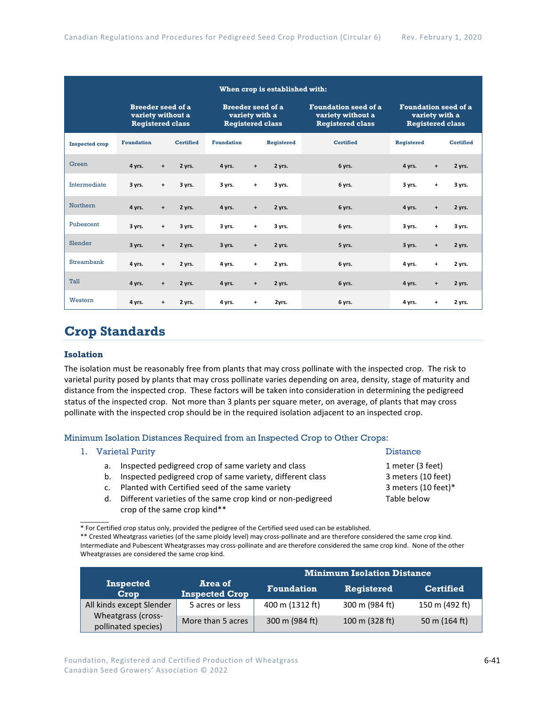| When crop is established with: |                                                                          |           |                  |                                                                       |           |            |                                                                             |                   |                                  |                                                                          |  |
|--------------------------------|--------------------------------------------------------------------------|-----------|------------------|-----------------------------------------------------------------------|-----------|------------|-----------------------------------------------------------------------------|-------------------|----------------------------------|--------------------------------------------------------------------------|--|
|                                | <b>Breeder seed of a</b><br>variety without a<br><b>Registered class</b> |           |                  | <b>Breeder seed of a</b><br>variety with a<br><b>Registered class</b> |           |            | <b>Foundation seed of a</b><br>variety without a<br><b>Registered class</b> |                   |                                  | <b>Foundation seed of a</b><br>variety with a<br><b>Registered class</b> |  |
| <b>Inspected crop</b>          | <b>Foundation</b>                                                        |           | <b>Certified</b> | <b>Foundation</b>                                                     |           | Registered | <b>Certified</b>                                                            | <b>Registered</b> |                                  | <b>Certified</b>                                                         |  |
| Green                          | 4 yrs.                                                                   | $\ddot{}$ | 2 yrs.           | 4 yrs.                                                                | $\ddot{}$ | 2 yrs.     | 6 yrs.                                                                      | 4 yrs.            | $\begin{array}{c} + \end{array}$ | 2 yrs.                                                                   |  |
| Intermediate                   | 3 yrs.                                                                   | $\ddot{}$ | 3 yrs.           | 3 yrs.                                                                | $\ddot{}$ | 3 yrs.     | 6 yrs.                                                                      | 3 yrs.            | $\ddot{}$                        | 3 yrs.                                                                   |  |
| Northern                       | 4 yrs.                                                                   | $\ddot{}$ | 2 yrs.           | 4 yrs.                                                                | $\ddot{}$ | 2 yrs.     | 6 yrs.                                                                      | 4 yrs.            | $\ddot{}$                        | 2 yrs.                                                                   |  |
| Pubescent                      | 3 yrs.                                                                   | $\ddot{}$ | 3 yrs.           | 3 yrs.                                                                | +         | 3 yrs.     | 6 yrs.                                                                      | 3 yrs.            | $\ddot{}$                        | 3 yrs.                                                                   |  |
| Slender                        | 3 yrs.                                                                   | $\ddot{}$ | 2 yrs.           | 3 yrs.                                                                | $\ddot{}$ | 2 yrs.     | 5 yrs.                                                                      | 3 yrs.            | $\begin{array}{c} + \end{array}$ | 2 yrs.                                                                   |  |
| Streambank                     | 4 yrs.                                                                   | $\ddot{}$ | 2 yrs.           | 4 yrs.                                                                | $\ddot{}$ | 2 yrs.     | 6 yrs.                                                                      | 4 yrs.            | $\ddot{}$                        | 2 yrs.                                                                   |  |
| Tall                           | 4 yrs.                                                                   | $\ddot{}$ | 2 yrs.           | 4 yrs.                                                                | $\ddot{}$ | 2 yrs.     | 6 yrs.                                                                      | 4 yrs.            | $\ddot{}$                        | 2 yrs.                                                                   |  |
| Western                        | 4 yrs.                                                                   | $\ddot{}$ | 2 yrs.           | 4 yrs.                                                                | +         | 2yrs.      | 6 yrs.                                                                      | 4 yrs.            | +                                | 2 yrs.                                                                   |  |

### **Crop Standards**

#### **Isolation**

The isolation must be reasonably free from plants that may cross pollinate with the inspected crop. The risk to varietal purity posed by plants that may cross pollinate varies depending on area, density, stage of maturity and distance from the inspected crop. These factors will be taken into consideration in determining the pedigreed status of the inspected crop. Not more than 3 plants per square meter, on average, of plants that may cross pollinate with the inspected crop should be in the required isolation adjacent to an inspected crop.

### Minimum Isolation Distances Required from an Inspected Crop to Other Crops:

#### 1. Varietal Purity **Distance**

 $\overline{\phantom{a}}$ 

- a. Inspected pedigreed crop of same variety and class 1
- b. Inspected pedigreed crop of same variety, different class 3
- c. Planted with Certified seed of the same variety **3** meters (30 section 3)
- d. Different varieties of the same crop kind or non-pedigreed Table Below crop of the same crop kind\*\*

<sup>\*\*</sup> Crested Wheatgrass varieties (of the same ploidy level) may cross-pollinate and are therefore considered the same crop kind. Intermediate and Pubescent Wheatgrasses may cross-pollinate and are therefore considered the same crop kind. None of the other Wheatgrasses are considered the same crop kind.

|                                           |                                  | <b>Minimum Isolation Distance</b> |                |                  |  |  |
|-------------------------------------------|----------------------------------|-----------------------------------|----------------|------------------|--|--|
| <b>Inspected</b><br>Crop                  | Area of<br><b>Inspected Crop</b> | <b>Foundation</b>                 | Registered     | <b>Certified</b> |  |  |
| All kinds except Slender                  | 5 acres or less                  | 400 m (1312 ft)                   | 300 m (984 ft) | 150 m (492 ft)   |  |  |
| Wheatgrass (cross-<br>pollinated species) | More than 5 acres                | 300 m (984 ft)                    | 100 m (328 ft) | 50 m (164 ft)    |  |  |

6-41

| L meter (3 feet)        |
|-------------------------|
| 3 meters (10 feet)      |
| 3 meters (10 feet)*     |
| <sup>r</sup> able below |

<sup>\*</sup> For Certified crop status only, provided the pedigree of the Certified seed used can be established.